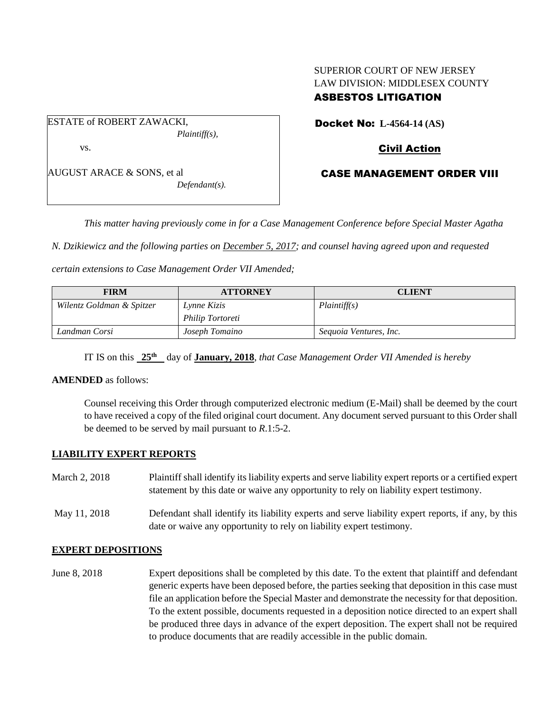### SUPERIOR COURT OF NEW JERSEY LAW DIVISION: MIDDLESEX COUNTY ASBESTOS LITIGATION

ESTATE of ROBERT ZAWACKI, *Plaintiff(s),* vs.

AUGUST ARACE & SONS, et al *Defendant(s).* Docket No: **L-4564-14 (AS)** 

## Civil Action

## CASE MANAGEMENT ORDER VIII

*This matter having previously come in for a Case Management Conference before Special Master Agatha* 

*N. Dzikiewicz and the following parties on December 5, 2017; and counsel having agreed upon and requested* 

*certain extensions to Case Management Order VII Amended;*

| <b>FIRM</b>               | <b>ATTORNEY</b>  | <b>CLIENT</b>          |
|---------------------------|------------------|------------------------|
| Wilentz Goldman & Spitzer | Lynne Kizis      | Plaintiff(s)           |
|                           | Philip Tortoreti |                        |
| Landman Corsi             | Joseph Tomaino   | Sequoia Ventures, Inc. |

IT IS on this **25 th** day of **January, 2018**, *that Case Management Order VII Amended is hereby*

#### **AMENDED** as follows:

Counsel receiving this Order through computerized electronic medium (E-Mail) shall be deemed by the court to have received a copy of the filed original court document. Any document served pursuant to this Order shall be deemed to be served by mail pursuant to *R*.1:5-2.

#### **LIABILITY EXPERT REPORTS**

| March 2, 2018 | Plaintiff shall identify its liability experts and serve liability expert reports or a certified expert<br>statement by this date or waive any opportunity to rely on liability expert testimony. |
|---------------|---------------------------------------------------------------------------------------------------------------------------------------------------------------------------------------------------|
| May 11, 2018  | Defendant shall identify its liability experts and serve liability expert reports, if any, by this<br>date or waive any opportunity to rely on liability expert testimony.                        |

#### **EXPERT DEPOSITIONS**

June 8, 2018 Expert depositions shall be completed by this date. To the extent that plaintiff and defendant generic experts have been deposed before, the parties seeking that deposition in this case must file an application before the Special Master and demonstrate the necessity for that deposition. To the extent possible, documents requested in a deposition notice directed to an expert shall be produced three days in advance of the expert deposition. The expert shall not be required to produce documents that are readily accessible in the public domain.